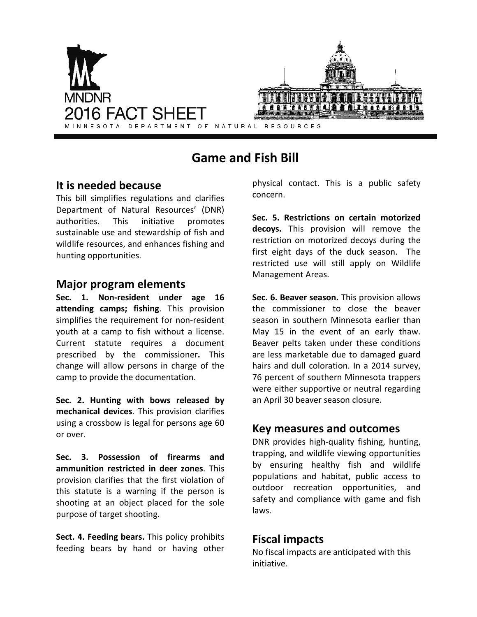

# **Game and Fish Bill**

## **It is needed because**

This bill simplifies regulations and clarifies Department of Natural Resources' (DNR) authorities. This initiative promotes sustainable use and stewardship of fish and wildlife resources, and enhances fishing and hunting opportunities.

#### **Major program elements**

**Sec. 1. Non-resident under age 16 attending camps; fishing**. This provision simplifies the requirement for non-resident youth at a camp to fish without a license. Current statute requires a document prescribed by the commissioner**.** This change will allow persons in charge of the camp to provide the documentation.

**Sec. 2. Hunting with bows released by mechanical devices**. This provision clarifies using a crossbow is legal for persons age 60 or over.

**Sec. 3. Possession of firearms and ammunition restricted in deer zones**. This provision clarifies that the first violation of this statute is a warning if the person is shooting at an object placed for the sole purpose of target shooting.

**Sect. 4. Feeding bears.** This policy prohibits feeding bears by hand or having other physical contact. This is a public safety concern.

**Sec. 5. Restrictions on certain motorized decoys.** This provision will remove the restriction on motorized decoys during the first eight days of the duck season. The restricted use will still apply on Wildlife Management Areas.

**Sec. 6. Beaver season.** This provision allows the commissioner to close the beaver season in southern Minnesota earlier than May 15 in the event of an early thaw. Beaver pelts taken under these conditions are less marketable due to damaged guard hairs and dull coloration. In a 2014 survey, 76 percent of southern Minnesota trappers were either supportive or neutral regarding an April 30 beaver season closure.

#### **Key measures and outcomes**

DNR provides high-quality fishing, hunting, trapping, and wildlife viewing opportunities by ensuring healthy fish and wildlife populations and habitat, public access to outdoor recreation opportunities, and safety and compliance with game and fish laws.

## **Fiscal impacts**

No fiscal impacts are anticipated with this initiative.